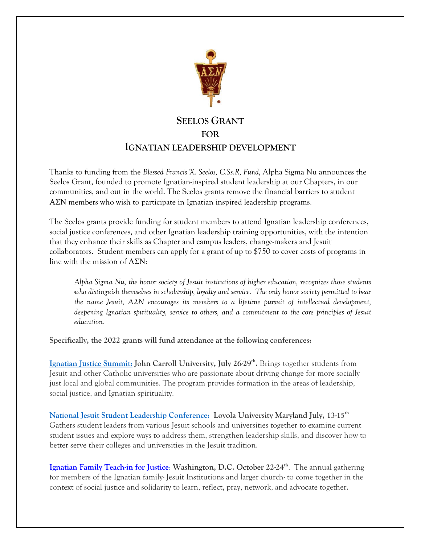

# **SEELOS GRANT FOR IGNATIAN LEADERSHIP DEVELOPMENT**

Thanks to funding from the *Blessed Francis X. Seelos, C.Ss.R, Fund,* Alpha Sigma Nu announces the Seelos Grant, founded to promote Ignatian-inspired student leadership at our Chapters, in our communities, and out in the world. The Seelos grants remove the financial barriers to student ΑΣΝ members who wish to participate in Ignatian inspired leadership programs.

The Seelos grants provide funding for student members to attend Ignatian leadership conferences, social justice conferences, and other Ignatian leadership training opportunities, with the intention that they enhance their skills as Chapter and campus leaders, change-makers and Jesuit collaborators. Student members can apply for a grant of up to \$750 to cover costs of programs in line with the mission of ΑΣΝ:

*Alpha Sigma Nu, the honor society of Jesuit institutions of higher education, recognizes those students who distinguish themselves in scholarship, loyalty and service. The only honor society permitted to bear the name Jesuit, A*Σ*N encourages its members to a lifetime pursuit of intellectual development, deepening Ignatian spirituality, service to others, and a commitment to the core principles of Jesuit education.*

**Specifically, the 2022 grants will fund attendance at the following conferences:**

[Ignatian Justice Summit:](https://ignatiansolidarity.net/ignatian-justice-summit/) John Carroll University, July 26-29<sup>th</sup>. Brings together students from Jesuit and other Catholic universities who are passionate about driving change for more socially just local and global communities. The program provides formation in the areas of leadership, social justice, and Ignatian spirituality.

**[National Jesuit Student Leadership Conference:](https://www.jesuitstudentaffairs.org/cpages/njslc) Loyola University Maryland July, 13-15th** Gathers student leaders from various Jesuit schools and universities together to examine current student issues and explore ways to address them, strengthen leadership skills, and discover how to better serve their colleges and universities in the Jesuit tradition.

**[Ignatian Family Teach-in for Justice](https://ignatiansolidarity.net/iftj/)**[:](https://ignatiansolidarity.net/iftj/) **Washington, D.C. October 22-24th**. The annual gathering for members of the Ignatian family- Jesuit Institutions and larger church- to come together in the context of social justice and solidarity to learn, reflect, pray, network, and advocate together.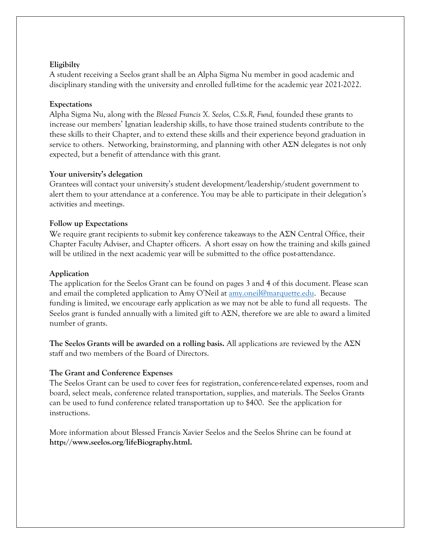#### **Eligibilty**

A student receiving a Seelos grant shall be an Alpha Sigma Nu member in good academic and disciplinary standing with the university and enrolled full-time for the academic year 2021-2022.

#### **Expectations**

Alpha Sigma Nu, along with the *Blessed Francis X. Seelos, C.Ss.R, Fund,* founded these grants to increase our members' Ignatian leadership skills, to have those trained students contribute to the these skills to their Chapter, and to extend these skills and their experience beyond graduation in service to others. Networking, brainstorming, and planning with other  $A\Sigma N$  delegates is not only expected, but a benefit of attendance with this grant.

#### **Your university's delegation**

Grantees will contact your university's student development/leadership/student government to alert them to your attendance at a conference. You may be able to participate in their delegation's activities and meetings.

#### **Follow up Expectations**

We require grant recipients to submit key conference takeaways to the ΑΣΝ Central Office, their Chapter Faculty Adviser, and Chapter officers. A short essay on how the training and skills gained will be utilized in the next academic year will be submitted to the office post-attendance.

#### **Application**

The application for the Seelos Grant can be found on pages 3 and 4 of this document. Please scan and email the completed application to Amy O'Neil at <u>amy.oneil@marquette.edu</u>. Because funding is limited, we encourage early application as we may not be able to fund all requests. The Seelos grant is funded annually with a limited gift to AΣN, therefore we are able to award a limited number of grants.

**The Seelos Grants will be awarded on a rolling basis.** All applications are reviewed by the ΑΣΝ staff and two members of the Board of Directors.

### **The Grant and Conference Expenses**

The Seelos Grant can be used to cover fees for registration, conference-related expenses, room and board, select meals, conference related transportation, supplies, and materials. The Seelos Grants can be used to fund conference related transportation up to \$400. See the application for instructions.

More information about Blessed Francis Xavier Seelos and the Seelos Shrine can be found at **[http://www.seelos.org/lifeBiography.html.](http://www.seelos.org/lifeBiography.html)**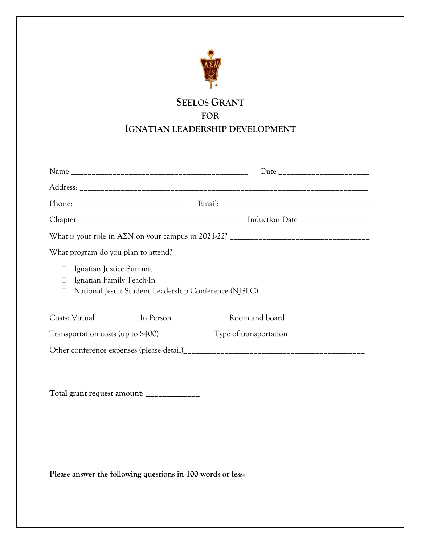

## **SEELOS GRANT FOR IGNATIAN LEADERSHIP DEVELOPMENT**

| What program do you plan to attend?                                                                                         |  |
|-----------------------------------------------------------------------------------------------------------------------------|--|
| Ignatian Justice Summit<br>$\Box$<br>Ignatian Family Teach-In<br>National Jesuit Student Leadership Conference (NJSLC)<br>⊔ |  |
|                                                                                                                             |  |
|                                                                                                                             |  |
|                                                                                                                             |  |
| Total grant request amount: _____________                                                                                   |  |

**Please answer the following questions in 100 words or less:**